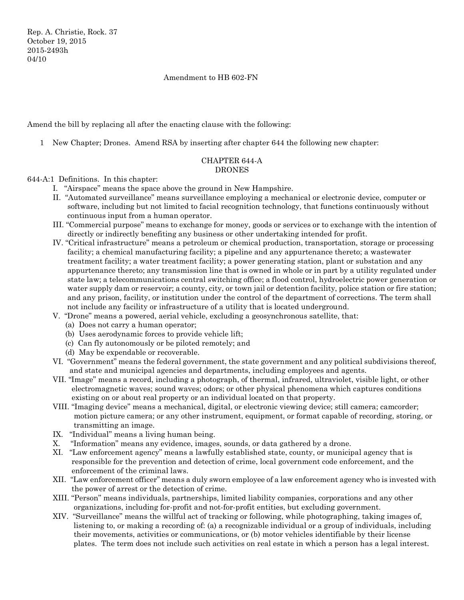Rep. A. Christie, Rock. 37 October 19, 2015 2015-2493h 04/10

### Amendment to HB 602-FN

Amend the bill by replacing all after the enacting clause with the following:

1 New Chapter; Drones. Amend RSA by inserting after chapter 644 the following new chapter:

# CHAPTER 644-A DRONES

# 644-A:1 Definitions. In this chapter:

- I. "Airspace" means the space above the ground in New Hampshire.
- II. "Automated surveillance" means surveillance employing a mechanical or electronic device, computer or software, including but not limited to facial recognition technology, that functions continuously without continuous input from a human operator.
- III. "Commercial purpose" means to exchange for money, goods or services or to exchange with the intention of directly or indirectly benefiting any business or other undertaking intended for profit.
- IV. "Critical infrastructure" means a petroleum or chemical production, transportation, storage or processing facility; a chemical manufacturing facility; a pipeline and any appurtenance thereto; a wastewater treatment facility; a water treatment facility; a power generating station, plant or substation and any appurtenance thereto; any transmission line that is owned in whole or in part by a utility regulated under state law; a telecommunications central switching office; a flood control, hydroelectric power generation or water supply dam or reservoir; a county, city, or town jail or detention facility, police station or fire station; and any prison, facility, or institution under the control of the department of corrections. The term shall not include any facility or infrastructure of a utility that is located underground.
- V. "Drone" means a powered, aerial vehicle, excluding a geosynchronous satellite, that:
	- (a) Does not carry a human operator;
	- (b) Uses aerodynamic forces to provide vehicle lift;
	- (c) Can fly autonomously or be piloted remotely; and
	- (d) May be expendable or recoverable.
- VI. "Government" means the federal government, the state government and any political subdivisions thereof, and state and municipal agencies and departments, including employees and agents.
- VII. "Image" means a record, including a photograph, of thermal, infrared, ultraviolet, visible light, or other electromagnetic waves; sound waves; odors; or other physical phenomena which captures conditions existing on or about real property or an individual located on that property.
- VIII. "Imaging device" means a mechanical, digital, or electronic viewing device; still camera; camcorder; motion picture camera; or any other instrument, equipment, or format capable of recording, storing, or transmitting an image.
- IX. "Individual" means a living human being.
- X. "Information" means any evidence, images, sounds, or data gathered by a drone.
- XI. "Law enforcement agency" means a lawfully established state, county, or municipal agency that is responsible for the prevention and detection of crime, local government code enforcement, and the enforcement of the criminal laws.
- XII. "Law enforcement officer" means a duly sworn employee of a law enforcement agency who is invested with the power of arrest or the detection of crime.
- XIII. "Person" means individuals, partnerships, limited liability companies, corporations and any other organizations, including for-profit and not-for-profit entities, but excluding government.
- XIV. "Surveillance" means the willful act of tracking or following, while photographing, taking images of, listening to, or making a recording of: (a) a recognizable individual or a group of individuals, including their movements, activities or communications, or (b) motor vehicles identifiable by their license plates. The term does not include such activities on real estate in which a person has a legal interest.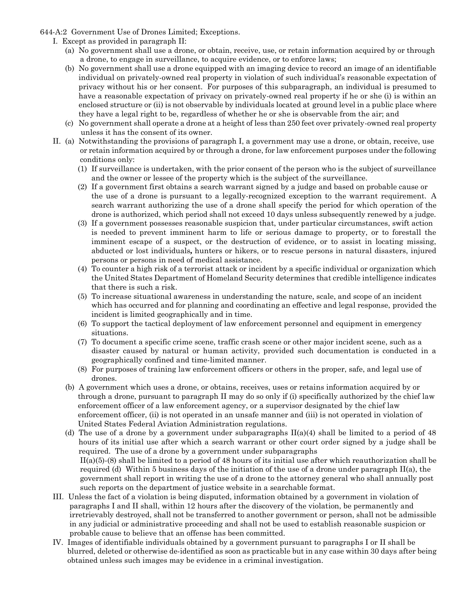644-A:2 Government Use of Drones Limited; Exceptions.

- I. Except as provided in paragraph II:
	- (a) No government shall use a drone, or obtain, receive, use, or retain information acquired by or through a drone, to engage in surveillance, to acquire evidence, or to enforce laws;
	- (b) No government shall use a drone equipped with an imaging device to record an image of an identifiable individual on privately-owned real property in violation of such individual's reasonable expectation of privacy without his or her consent. For purposes of this subparagraph, an individual is presumed to have a reasonable expectation of privacy on privately-owned real property if he or she (i) is within an enclosed structure or (ii) is not observable by individuals located at ground level in a public place where they have a legal right to be, regardless of whether he or she is observable from the air; and
	- (c) No government shall operate a drone at a height of less than 250 feet over privately-owned real property unless it has the consent of its owner.
- II. (a) Notwithstanding the provisions of paragraph I, a government may use a drone, or obtain, receive, use or retain information acquired by or through a drone, for law enforcement purposes under the following conditions only:
	- (1) If surveillance is undertaken, with the prior consent of the person who is the subject of surveillance and the owner or lessee of the property which is the subject of the surveillance.
	- (2) If a government first obtains a search warrant signed by a judge and based on probable cause or the use of a drone is pursuant to a legally-recognized exception to the warrant requirement. A search warrant authorizing the use of a drone shall specify the period for which operation of the drone is authorized, which period shall not exceed 10 days unless subsequently renewed by a judge.
	- (3) If a government possesses reasonable suspicion that, under particular circumstances, swift action is needed to prevent imminent harm to life or serious damage to property, or to forestall the imminent escape of a suspect, or the destruction of evidence, or to assist in locating missing, abducted or lost individuals*,* hunters or hikers, or to rescue persons in natural disasters, injured persons or persons in need of medical assistance.
	- (4) To counter a high risk of a terrorist attack or incident by a specific individual or organization which the United States Department of Homeland Security determines that credible intelligence indicates that there is such a risk.
	- (5) To increase situational awareness in understanding the nature, scale, and scope of an incident which has occurred and for planning and coordinating an effective and legal response, provided the incident is limited geographically and in time.
	- (6) To support the tactical deployment of law enforcement personnel and equipment in emergency situations.
	- (7) To document a specific crime scene, traffic crash scene or other major incident scene, such as a disaster caused by natural or human activity, provided such documentation is conducted in a geographically confined and time-limited manner.
	- (8) For purposes of training law enforcement officers or others in the proper, safe, and legal use of drones.
	- (b) A government which uses a drone, or obtains, receives, uses or retains information acquired by or through a drone, pursuant to paragraph II may do so only if (i) specifically authorized by the chief law enforcement officer of a law enforcement agency, or a supervisor designated by the chief law enforcement officer, (ii) is not operated in an unsafe manner and (iii) is not operated in violation of United States Federal Aviation Administration regulations.
	- (d) The use of a drone by a government under subparagraphs  $II(a)(4)$  shall be limited to a period of 48 hours of its initial use after which a search warrant or other court order signed by a judge shall be required. The use of a drone by a government under subparagraphs II(a)(5)-(8) shall be limited to a period of 48 hours of its initial use after which reauthorization shall be required (d) Within 5 business days of the initiation of the use of a drone under paragraph II(a), the government shall report in writing the use of a drone to the attorney general who shall annually post such reports on the department of justice website in a searchable format.
- III. Unless the fact of a violation is being disputed, information obtained by a government in violation of paragraphs I and II shall, within 12 hours after the discovery of the violation, be permanently and irretrievably destroyed, shall not be transferred to another government or person, shall not be admissible in any judicial or administrative proceeding and shall not be used to establish reasonable suspicion or probable cause to believe that an offense has been committed.
- IV. Images of identifiable individuals obtained by a government pursuant to paragraphs I or II shall be blurred, deleted or otherwise de-identified as soon as practicable but in any case within 30 days after being obtained unless such images may be evidence in a criminal investigation.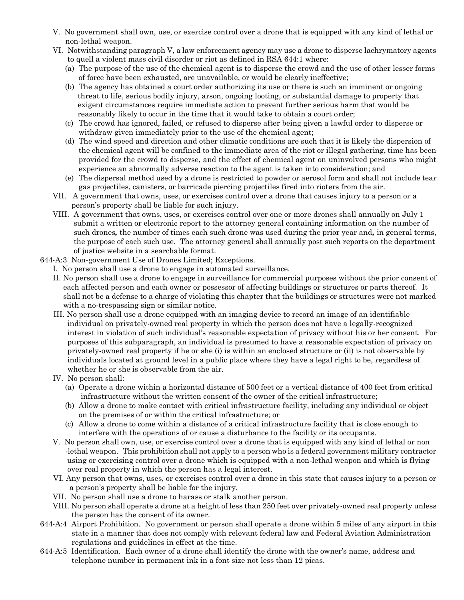- V. No government shall own, use, or exercise control over a drone that is equipped with any kind of lethal or non-lethal weapon.
- VI. Notwithstanding paragraph V, a law enforcement agency may use a drone to disperse lachrymatory agents to quell a violent mass civil disorder or riot as defined in RSA 644:1 where:
	- (a) The purpose of the use of the chemical agent is to disperse the crowd and the use of other lesser forms of force have been exhausted, are unavailable, or would be clearly ineffective;
	- (b) The agency has obtained a court order authorizing its use or there is such an imminent or ongoing threat to life, serious bodily injury, arson, ongoing looting, or substantial damage to property that exigent circumstances require immediate action to prevent further serious harm that would be reasonably likely to occur in the time that it would take to obtain a court order;
	- (c) The crowd has ignored, failed, or refused to disperse after being given a lawful order to disperse or withdraw given immediately prior to the use of the chemical agent;
	- (d) The wind speed and direction and other climatic conditions are such that it is likely the dispersion of the chemical agent will be confined to the immediate area of the riot or illegal gathering, time has been provided for the crowd to disperse, and the effect of chemical agent on uninvolved persons who might experience an abnormally adverse reaction to the agent is taken into consideration; and
	- (e) The dispersal method used by a drone is restricted to powder or aerosol form and shall not include tear gas projectiles, canisters, or barricade piercing projectiles fired into rioters from the air.
- VII. A government that owns, uses, or exercises control over a drone that causes injury to a person or a person's property shall be liable for such injury.
- VIII. A government that owns, uses, or exercises control over one or more drones shall annually on July 1 submit a written or electronic report to the attorney general containing information on the number of such drones*,* the number of times each such drone was used during the prior year and*,* in general terms, the purpose of each such use. The attorney general shall annually post such reports on the department of justice website in a searchable format.
- 644-A:3 Non-government Use of Drones Limited; Exceptions.
	- I. No person shall use a drone to engage in automated surveillance.
		- II. No person shall use a drone to engage in surveillance for commercial purposes without the prior consent of each affected person and each owner or possessor of affecting buildings or structures or parts thereof. It shall not be a defense to a charge of violating this chapter that the buildings or structures were not marked with a no-trespassing sign or similar notice.
		- III. No person shall use a drone equipped with an imaging device to record an image of an identifiable individual on privately-owned real property in which the person does not have a legally-recognized interest in violation of such individual's reasonable expectation of privacy without his or her consent. For purposes of this subparagraph, an individual is presumed to have a reasonable expectation of privacy on privately-owned real property if he or she (i) is within an enclosed structure or (ii) is not observable by individuals located at ground level in a public place where they have a legal right to be, regardless of whether he or she is observable from the air.
		- IV. No person shall:
			- (a) Operate a drone within a horizontal distance of 500 feet or a vertical distance of 400 feet from critical infrastructure without the written consent of the owner of the critical infrastructure;
			- (b) Allow a drone to make contact with critical infrastructure facility, including any individual or object on the premises of or within the critical infrastructure; or
			- (c) Allow a drone to come within a distance of a critical infrastructure facility that is close enough to interfere with the operations of or cause a disturbance to the facility or its occupants.
		- V. No person shall own, use, or exercise control over a drone that is equipped with any kind of lethal or non -lethal weapon. This prohibition shall not apply to a person who is a federal government military contractor using or exercising control over a drone which is equipped with a non-lethal weapon and which is flying over real property in which the person has a legal interest.
	- VI. Any person that owns, uses, or exercises control over a drone in this state that causes injury to a person or a person's property shall be liable for the injury.
	- VII. No person shall use a drone to harass or stalk another person.
	- VIII. No person shall operate a drone at a height of less than 250 feet over privately-owned real property unless the person has the consent of its owner.
- 644-A:4 Airport Prohibition. No government or person shall operate a drone within 5 miles of any airport in this state in a manner that does not comply with relevant federal law and Federal Aviation Administration regulations and guidelines in effect at the time.
- 644-A:5 Identification. Each owner of a drone shall identify the drone with the owner's name, address and telephone number in permanent ink in a font size not less than 12 picas.